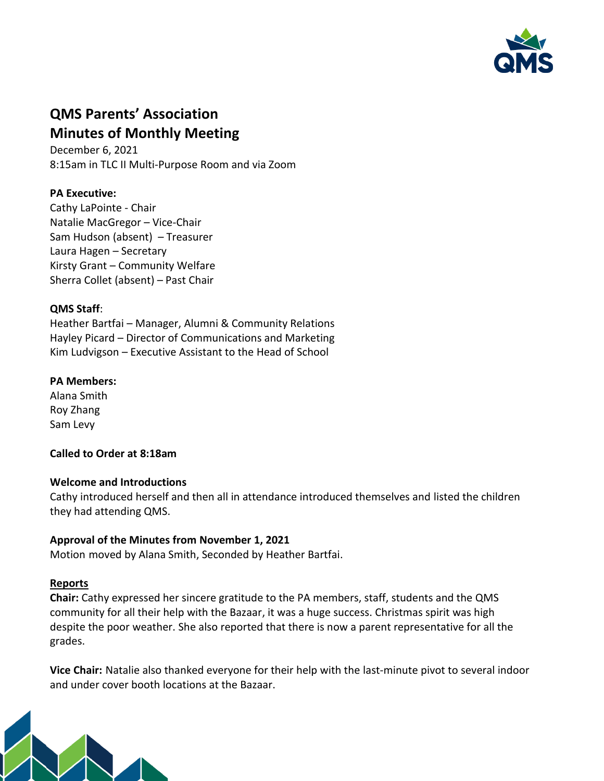

# **QMS Parents' Association Minutes of Monthly Meeting**

December 6, 2021 8:15am in TLC II Multi-Purpose Room and via Zoom

## **PA Executive:**

Cathy LaPointe - Chair Natalie MacGregor – Vice-Chair Sam Hudson (absent) – Treasurer Laura Hagen – Secretary Kirsty Grant – Community Welfare Sherra Collet (absent) – Past Chair

#### **QMS Staff**:

Heather Bartfai – Manager, Alumni & Community Relations Hayley Picard – Director of Communications and Marketing Kim Ludvigson – Executive Assistant to the Head of School

## **PA Members:**

Alana Smith Roy Zhang Sam Levy

## **Called to Order at 8:18am**

## **Welcome and Introductions**

Cathy introduced herself and then all in attendance introduced themselves and listed the children they had attending QMS.

## **Approval of the Minutes from November 1, 2021**

Motion moved by Alana Smith, Seconded by Heather Bartfai.

## **Reports**

**Chair:** Cathy expressed her sincere gratitude to the PA members, staff, students and the QMS community for all their help with the Bazaar, it was a huge success. Christmas spirit was high despite the poor weather. She also reported that there is now a parent representative for all the grades.

**Vice Chair:** Natalie also thanked everyone for their help with the last-minute pivot to several indoor and under cover booth locations at the Bazaar.

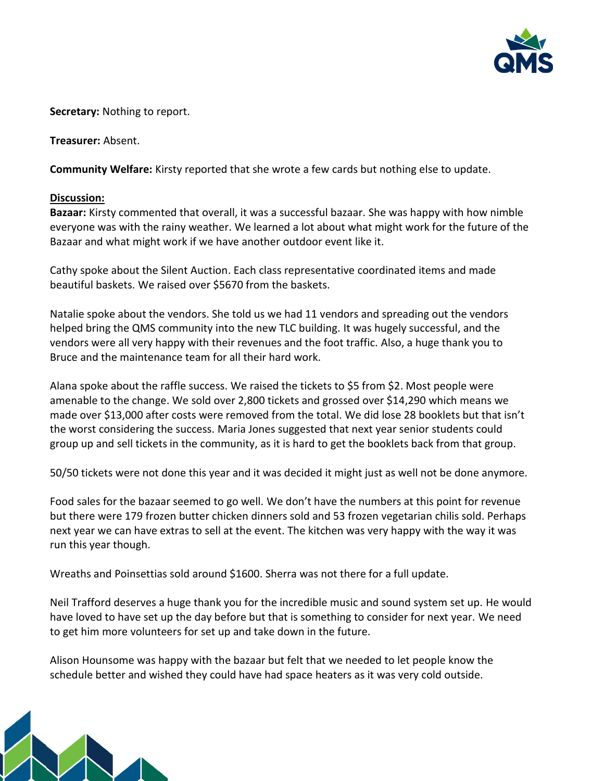

**Secretary:** Nothing to report.

**Treasurer:** Absent.

**Community Welfare:** Kirsty reported that she wrote a few cards but nothing else to update.

#### **Discussion:**

**Bazaar:** Kirsty commented that overall, it was a successful bazaar. She was happy with how nimble everyone was with the rainy weather. We learned a lot about what might work for the future of the Bazaar and what might work if we have another outdoor event like it.

Cathy spoke about the Silent Auction. Each class representative coordinated items and made beautiful baskets. We raised over \$5670 from the baskets.

Natalie spoke about the vendors. She told us we had 11 vendors and spreading out the vendors helped bring the QMS community into the new TLC building. It was hugely successful, and the vendors were all very happy with their revenues and the foot traffic. Also, a huge thank you to Bruce and the maintenance team for all their hard work.

Alana spoke about the raffle success. We raised the tickets to \$5 from \$2. Most people were amenable to the change. We sold over 2,800 tickets and grossed over \$14,290 which means we made over \$13,000 after costs were removed from the total. We did lose 28 booklets but that isn't the worst considering the success. Maria Jones suggested that next year senior students could group up and sell tickets in the community, as it is hard to get the booklets back from that group.

50/50 tickets were not done this year and it was decided it might just as well not be done anymore.

Food sales for the bazaar seemed to go well. We don't have the numbers at this point for revenue but there were 179 frozen butter chicken dinners sold and 53 frozen vegetarian chilis sold. Perhaps next year we can have extras to sell at the event. The kitchen was very happy with the way it was run this year though.

Wreaths and Poinsettias sold around \$1600. Sherra was not there for a full update.

Neil Trafford deserves a huge thank you for the incredible music and sound system set up. He would have loved to have set up the day before but that is something to consider for next year. We need to get him more volunteers for set up and take down in the future.

Alison Hounsome was happy with the bazaar but felt that we needed to let people know the schedule better and wished they could have had space heaters as it was very cold outside.